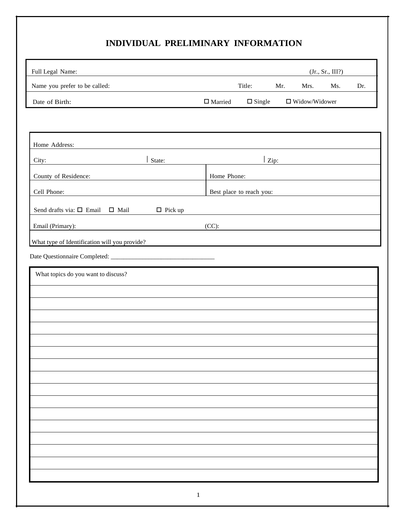## **INDIVIDUAL PRELIMINARY INFORMATION**

| Full Legal Name:                                                            |                          |               |     |                      | (Jr., Sr., III?) |     |
|-----------------------------------------------------------------------------|--------------------------|---------------|-----|----------------------|------------------|-----|
| Name you prefer to be called:                                               |                          | Title:        | Mr. | Mrs.                 | Ms.              | Dr. |
| Date of Birth:                                                              | $\Box$ Married           | $\Box$ Single |     | $\Box$ Widow/Widower |                  |     |
|                                                                             |                          |               |     |                      |                  |     |
|                                                                             |                          |               |     |                      |                  |     |
| Home Address:                                                               |                          |               |     |                      |                  |     |
| City:<br>State:                                                             |                          | Zip:          |     |                      |                  |     |
| County of Residence:                                                        | Home Phone:              |               |     |                      |                  |     |
| Cell Phone:                                                                 | Best place to reach you: |               |     |                      |                  |     |
| Send drafts via: $\square$ Email $\square$ Mail<br>$\Box$ Pick up           |                          |               |     |                      |                  |     |
| Email (Primary):<br><u> 1980 - Johann Barnett, fransk politik (f. 1980)</u> | (CC):                    |               |     |                      |                  |     |
| What type of Identification will you provide?                               |                          |               |     |                      |                  |     |
|                                                                             |                          |               |     |                      |                  |     |
| What topics do you want to discuss?                                         |                          |               |     |                      |                  |     |
|                                                                             |                          |               |     |                      |                  |     |
|                                                                             |                          |               |     |                      |                  |     |
|                                                                             |                          |               |     |                      |                  |     |
|                                                                             |                          |               |     |                      |                  |     |
|                                                                             |                          |               |     |                      |                  |     |
|                                                                             |                          |               |     |                      |                  |     |
|                                                                             |                          |               |     |                      |                  |     |
|                                                                             |                          |               |     |                      |                  |     |
|                                                                             |                          |               |     |                      |                  |     |
|                                                                             |                          |               |     |                      |                  |     |
|                                                                             |                          |               |     |                      |                  |     |
|                                                                             |                          |               |     |                      |                  |     |
|                                                                             |                          |               |     |                      |                  |     |
|                                                                             |                          |               |     |                      |                  |     |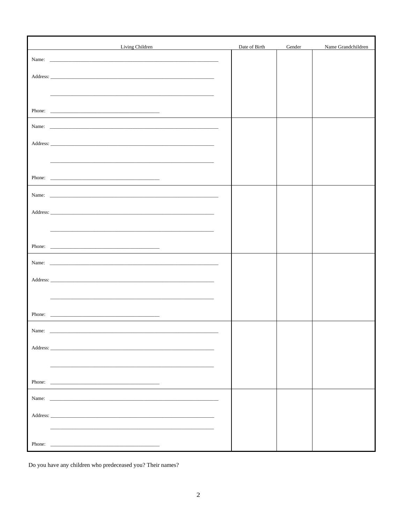|        | Living Children<br><u> 1989 - Andrea State Barbara, politik a postal de la provincia de la provincia de la provincia de la provincia</u>                                                                                      | Date of Birth | Gender | Name Grandchildren |
|--------|-------------------------------------------------------------------------------------------------------------------------------------------------------------------------------------------------------------------------------|---------------|--------|--------------------|
|        |                                                                                                                                                                                                                               |               |        |                    |
|        |                                                                                                                                                                                                                               |               |        |                    |
|        |                                                                                                                                                                                                                               |               |        |                    |
|        |                                                                                                                                                                                                                               |               |        |                    |
|        |                                                                                                                                                                                                                               |               |        |                    |
|        |                                                                                                                                                                                                                               |               |        |                    |
|        |                                                                                                                                                                                                                               |               |        |                    |
|        |                                                                                                                                                                                                                               |               |        |                    |
|        |                                                                                                                                                                                                                               |               |        |                    |
|        |                                                                                                                                                                                                                               |               |        |                    |
|        |                                                                                                                                                                                                                               |               |        |                    |
|        |                                                                                                                                                                                                                               |               |        |                    |
|        |                                                                                                                                                                                                                               |               |        |                    |
|        |                                                                                                                                                                                                                               |               |        |                    |
|        |                                                                                                                                                                                                                               |               |        |                    |
|        |                                                                                                                                                                                                                               |               |        |                    |
|        |                                                                                                                                                                                                                               |               |        |                    |
|        |                                                                                                                                                                                                                               |               |        |                    |
|        |                                                                                                                                                                                                                               |               |        |                    |
|        |                                                                                                                                                                                                                               |               |        |                    |
|        |                                                                                                                                                                                                                               |               |        |                    |
|        |                                                                                                                                                                                                                               |               |        |                    |
| Name:  |                                                                                                                                                                                                                               |               |        |                    |
|        |                                                                                                                                                                                                                               |               |        |                    |
|        |                                                                                                                                                                                                                               |               |        |                    |
|        |                                                                                                                                                                                                                               |               |        |                    |
|        |                                                                                                                                                                                                                               |               |        |                    |
|        | Name: Name: Name: Name: Name: Name: Name: Name: Name: Name: Name: Name: Name: Name: Name: Name: Name: Name: Name: Name: Name: Name: Name: Name: Name: Name: Name: Name: Name: Name: Name: Name: Name: Name: Name: Name: Name: |               |        |                    |
|        |                                                                                                                                                                                                                               |               |        |                    |
|        |                                                                                                                                                                                                                               |               |        |                    |
|        |                                                                                                                                                                                                                               |               |        |                    |
| Phone: | <u> 1989 - Johann Barn, fransk politik (d. 1989)</u>                                                                                                                                                                          |               |        |                    |

Do you have any children who predeceased you? Their names?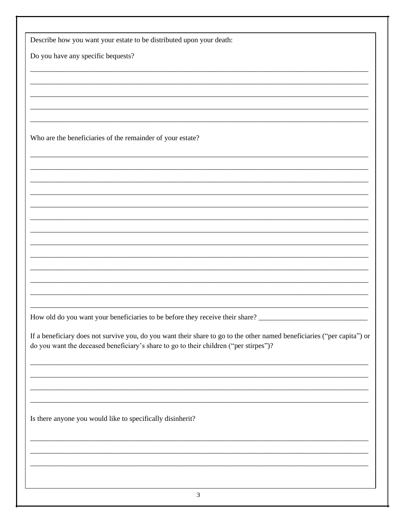| Describe how you want your estate to be distributed upon your death:                                                                                                                                             |  |
|------------------------------------------------------------------------------------------------------------------------------------------------------------------------------------------------------------------|--|
| Do you have any specific bequests?                                                                                                                                                                               |  |
|                                                                                                                                                                                                                  |  |
|                                                                                                                                                                                                                  |  |
|                                                                                                                                                                                                                  |  |
|                                                                                                                                                                                                                  |  |
|                                                                                                                                                                                                                  |  |
| Who are the beneficiaries of the remainder of your estate?                                                                                                                                                       |  |
|                                                                                                                                                                                                                  |  |
|                                                                                                                                                                                                                  |  |
|                                                                                                                                                                                                                  |  |
|                                                                                                                                                                                                                  |  |
|                                                                                                                                                                                                                  |  |
|                                                                                                                                                                                                                  |  |
|                                                                                                                                                                                                                  |  |
|                                                                                                                                                                                                                  |  |
|                                                                                                                                                                                                                  |  |
|                                                                                                                                                                                                                  |  |
|                                                                                                                                                                                                                  |  |
|                                                                                                                                                                                                                  |  |
|                                                                                                                                                                                                                  |  |
|                                                                                                                                                                                                                  |  |
| If a beneficiary does not survive you, do you want their share to go to the other named beneficiaries ("per capita") or<br>do you want the deceased beneficiary's share to go to their children ("per stirpes")? |  |
|                                                                                                                                                                                                                  |  |
| <u> 1989 - Johann Stoff, amerikansk politiker (d. 1989)</u>                                                                                                                                                      |  |
|                                                                                                                                                                                                                  |  |
|                                                                                                                                                                                                                  |  |
| Is there anyone you would like to specifically disinherit?                                                                                                                                                       |  |
|                                                                                                                                                                                                                  |  |
|                                                                                                                                                                                                                  |  |
|                                                                                                                                                                                                                  |  |
|                                                                                                                                                                                                                  |  |
|                                                                                                                                                                                                                  |  |